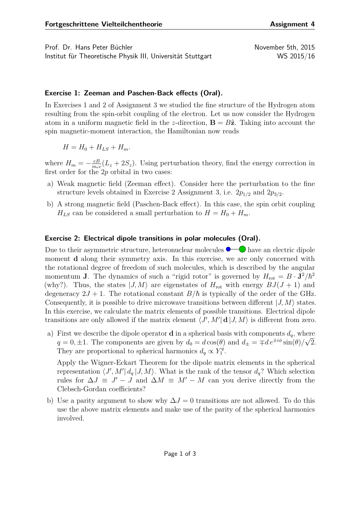Prof. Dr. Hans Peter Büchler November 5th, 2015 Institut für Theoretische Physik III, Universität Stuttgart WS 2015/16

## **Exercise 1: Zeeman and Paschen-Back effects (Oral).**

In Exercises 1 and 2 of Assignment 3 we studied the fine structure of the Hydrogen atom resulting from the spin-orbit coupling of the electron. Let us now consider the Hydrogen atom in a uniform magnetic field in the *z*-direction,  $\mathbf{B} = B\hat{\mathbf{z}}$ . Taking into account the spin magnetic-moment interaction, the Hamiltonian now reads

$$
H = H_0 + H_{LS} + H_m.
$$

where  $H_m = -\frac{eB}{m_{el}}$  $\frac{e}{m_e c}(L_z + 2S_z)$ . Using perturbation theory, find the energy correction in first order for the 2*p* orbital in two cases:

- a) Weak magnetic field (Zeeman effect). Consider here the perturbation to the fine structure levels obtained in Exercise 2 Assignment 3, i.e. 2*p*1*/*<sup>2</sup> and 2*p*3*/*2.
- b) A strong magnetic field (Paschen-Back effect). In this case, the spin orbit coupling  $H_{LS}$  can be considered a small perturbation to  $H = H_0 + H_m$ .

## **Exercise 2: Electrical dipole transitions in polar molecules (Oral).**

Due to their asymmetric structure, heteronuclear molecules  $\bullet$   $\bullet$  have an electric dipole moment **d** along their symmetry axis. In this exercise, we are only concerned with the rotational degree of freedom of such molecules, which is described by the angular momentum **J**. The dynamics of such a "rigid rotor" is governed by  $H_{\text{rot}} = B \cdot \mathbf{J}^2/\hbar^2$ (why?). Thus, the states  $|J, M\rangle$  are eigenstates of  $H_{\text{rot}}$  with energy  $BJ(J + 1)$  and degeneracy  $2J + 1$ . The rotational constant  $B/\hbar$  is typically of the order of the GHz. Consequently, it is possible to drive microwave transitions between different  $|J, M\rangle$  states. In this exercise, we calculate the matrix elements of possible transitions. Electrical dipole transitions are only allowed if the matrix element  $\langle J', M' | \mathbf{d} | J, M \rangle$  is different from zero.

a) First we describe the dipole operator **d** in a spherical basis with components  $d_q$ , where  $q = 0, \pm 1$ . The components are given by  $d_0 = d \cos(\theta)$  and  $d_{\pm} = \mp d e^{\pm i\phi} \sin(\theta) / \sqrt{2}$ . They are proportional to spherical harmonics  $d_q \propto Y_1^q$  $\frac{q}{1}$ .

Apply the Wigner-Eckart Theorem for the dipole matrix elements in the spherical representation  $\langle J', M' | d_q | J, M \rangle$ . What is the rank of the tensor  $d_q$ ? Which selection rules for  $\Delta J \equiv J' - J$  and  $\Delta M \equiv M' - M$  can you derive directly from the Clebsch-Gordan coefficients?

b) Use a parity argument to show why  $\Delta J = 0$  transitions are not allowed. To do this use the above matrix elements and make use of the parity of the spherical harmonics involved.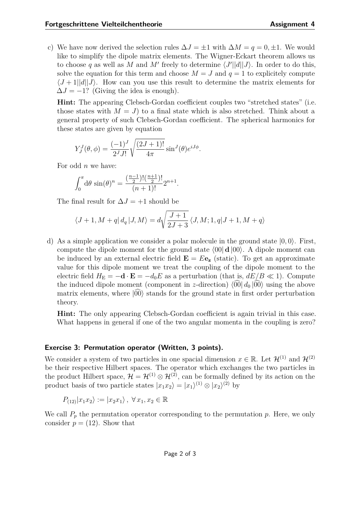c) We have now derived the selection rules  $\Delta J = \pm 1$  with  $\Delta M = q = 0, \pm 1$ . We would like to simplify the dipole matrix elements. The Wigner-Eckart theorem allows us to choose q as well as M and M' freely to determine  $\langle J'||d||J\rangle$ . In order to do this, solve the equation for this term and choose  $M = J$  and  $q = 1$  to explicitely compute  $\langle J+1||d||J\rangle$ . How can you use this result to determine the matrix elements for  $\Delta J = -1$ ? (Giving the idea is enough).

**Hint:** The appearing Clebsch-Gordan coefficient couples two "stretched states" (i.e. those states with  $M = J$  to a final state which is also stretched. Think about a general property of such Clebsch-Gordan coefficient. The spherical harmonics for these states are given by equation

$$
Y_J^J(\theta, \phi) = \frac{(-1)^J}{2^J J!} \sqrt{\frac{(2J+1)!}{4\pi}} \sin^J(\theta) e^{iJ\phi}.
$$

For odd *n* we have:

$$
\int_0^{\pi} d\theta \sin(\theta)^n = \frac{\left(\frac{n-1}{2}\right)! \left(\frac{n+1}{2}\right)!}{(n+1)!} 2^{n+1}.
$$

The final result for  $\Delta J = +1$  should be

$$
\langle J+1,M+q|\,d_q\,|J,M\rangle=d\sqrt{\frac{J+1}{2J+3}}\,\langle J,M;1,q|J+1,M+q\rangle
$$

d) As a simple application we consider a polar molecule in the ground state  $|0,0\rangle$ . First, compute the dipole moment for the ground state  $\langle 00| \mathbf{d} |00\rangle$ . A dipole moment can be induced by an external electric field  $\mathbf{E} = E \mathbf{e_z}$  (static). To get an approximate value for this dipole moment we treat the coupling of the dipole moment to the electric field  $H_{\rm E} = -\mathbf{d} \cdot \mathbf{E} = -d_0 E$  as a perturbation (that is,  $dE/B \ll 1$ ). Compute the induced dipole moment (component in *z*-direction)  $\langle 00 | d_0 | 00 \rangle$  using the above matrix elements, where  $|00\rangle$  stands for the ground state in first order perturbation theory.

**Hint:** The only appearing Clebsch-Gordan coefficient is again trivial in this case. What happens in general if one of the two angular momenta in the coupling is zero?

## **Exercise 3: Permutation operator (Written, 3 points).**

We consider a system of two particles in one spacial dimension  $x \in \mathbb{R}$ . Let  $\mathcal{H}^{(1)}$  and  $\mathcal{H}^{(2)}$ be their respective Hilbert spaces. The operator which exchanges the two particles in the product Hilbert space,  $\mathcal{H} = \mathcal{H}^{(1)} \otimes \mathcal{H}^{(2)}$ , can be formally defined by its action on the product basis of two particle states  $|x_1x_2\rangle = |x_1\rangle^{(1)} \otimes |x_2\rangle^{(2)}$  by

$$
P_{(12)}|x_1x_2\rangle := |x_2x_1\rangle, \ \forall x_1, x_2 \in \mathbb{R}
$$

We call  $P_p$  the permutation operator corresponding to the permutation  $p$ . Here, we only consider  $p = (12)$ . Show that